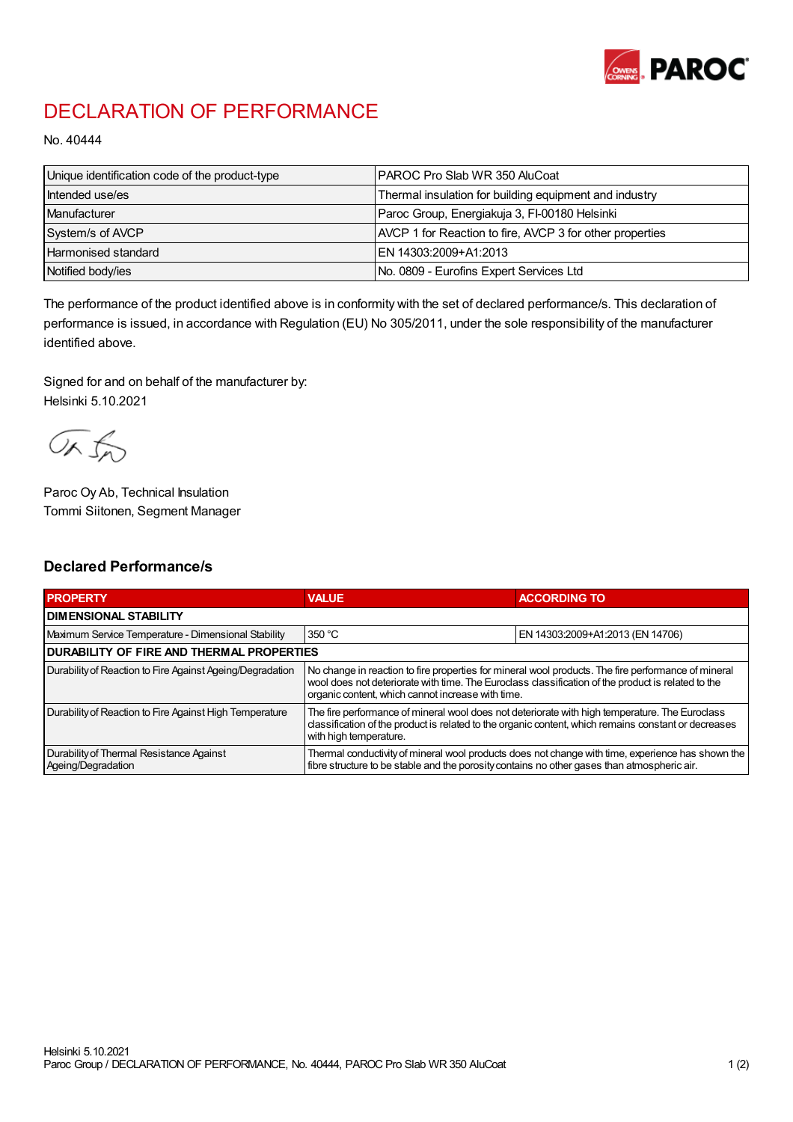

## DECLARATION OF PERFORMANCE

No. 40444

| Unique identification code of the product-type | PAROC Pro Slab WR 350 AluCoat                            |
|------------------------------------------------|----------------------------------------------------------|
| Intended use/es                                | Thermal insulation for building equipment and industry   |
| Manufacturer                                   | Paroc Group, Energiakuja 3, FI-00180 Helsinki            |
| System/s of AVCP                               | AVCP 1 for Reaction to fire, AVCP 3 for other properties |
| <b>Harmonised standard</b>                     | EN 14303:2009+A1:2013                                    |
| Notified body/ies                              | No. 0809 - Eurofins Expert Services Ltd                  |

The performance of the product identified above is in conformity with the set of declared performance/s. This declaration of performance is issued, in accordance with Regulation (EU) No 305/2011, under the sole responsibility of the manufacturer identified above.

Signed for and on behalf of the manufacturer by: Helsinki 5.10.2021

ORJO

Paroc Oy Ab, Technical Insulation Tommi Siitonen, Segment Manager

## Declared Performance/s

| <b>PROPERTY</b>                                                | <b>VALUE</b>                                                                                                                                                                                                                                                   | <b>ACCORDING TO</b>              |  |
|----------------------------------------------------------------|----------------------------------------------------------------------------------------------------------------------------------------------------------------------------------------------------------------------------------------------------------------|----------------------------------|--|
| <b>I DIMENSIONAL STABILITY</b>                                 |                                                                                                                                                                                                                                                                |                                  |  |
| Maximum Service Temperature - Dimensional Stability            | 350 °C                                                                                                                                                                                                                                                         | EN 14303:2009+A1:2013 (EN 14706) |  |
| <b>DURABILITY OF FIRE AND THERMAL PROPERTIES</b>               |                                                                                                                                                                                                                                                                |                                  |  |
| Durability of Reaction to Fire Against Ageing/Degradation      | No change in reaction to fire properties for mineral wool products. The fire performance of mineral<br>wool does not deteriorate with time. The Euroclass classification of the product is related to the<br>organic content, which cannot increase with time. |                                  |  |
| Durability of Reaction to Fire Against High Temperature        | The fire performance of mineral wool does not deteriorate with high temperature. The Eurodass<br>classification of the product is related to the organic content, which remains constant or decreases<br>with high temperature.                                |                                  |  |
| Durability of Thermal Resistance Against<br>Ageing/Degradation | Thermal conductivity of mineral wool products does not change with time, experience has shown the<br>fibre structure to be stable and the porosity contains no other gases than atmospheric air.                                                               |                                  |  |